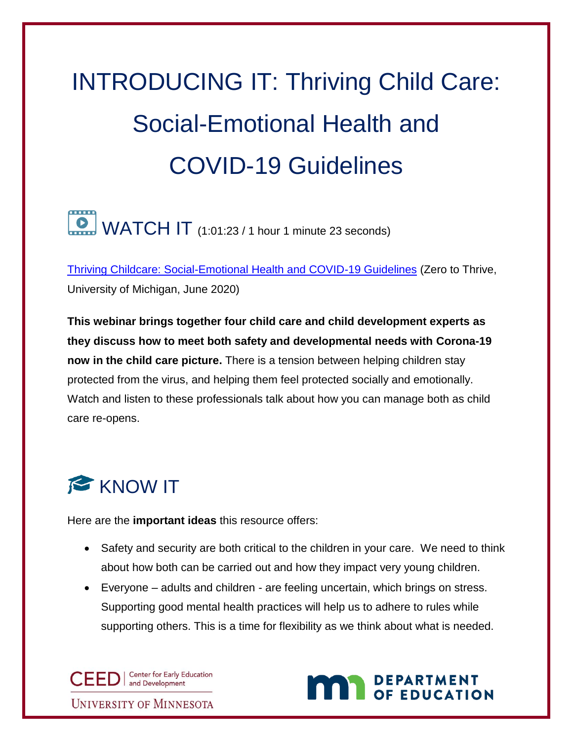## INTRODUCING IT: Thriving Child Care: Social-Emotional Health and COVID-19 Guidelines

## $\Box$  WATCH IT (1:01:23 / 1 hour 1 minute 23 seconds)

[Thriving Childcare: Social-Emotional Health and COVID-19 Guidelines](https://www.youtube.com/watch?v=6hVSdDAXUCw) (Zero to Thrive, University of Michigan, June 2020)

**This webinar brings together four child care and child development experts as they discuss how to meet both safety and developmental needs with Corona-19 now in the child care picture.** There is a tension between helping children stay protected from the virus, and helping them feel protected socially and emotionally. Watch and listen to these professionals talk about how you can manage both as child care re-opens.

## KNOW IT

Here are the **important ideas** this resource offers:

- Safety and security are both critical to the children in your care. We need to think about how both can be carried out and how they impact very young children.
- Everyone adults and children are feeling uncertain, which brings on stress. Supporting good mental health practices will help us to adhere to rules while supporting others. This is a time for flexibility as we think about what is needed.

CEED | Center for Early Education **UNIVERSITY OF MINNESOTA** 

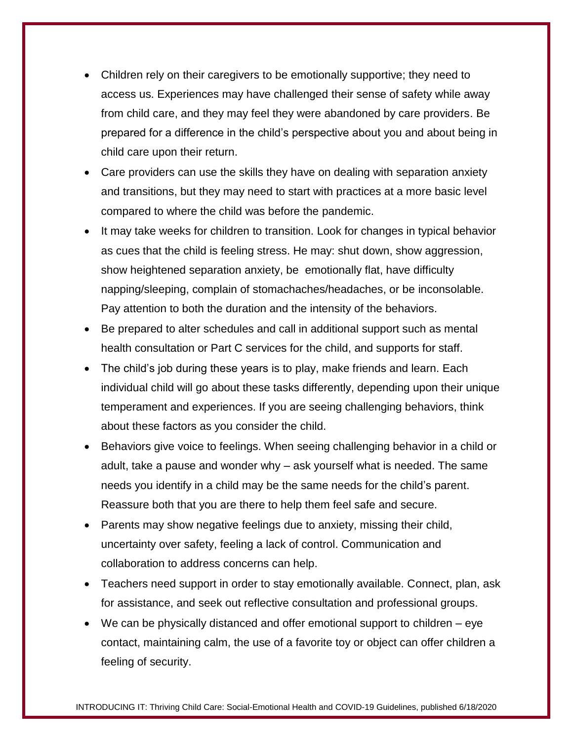- Children rely on their caregivers to be emotionally supportive; they need to access us. Experiences may have challenged their sense of safety while away from child care, and they may feel they were abandoned by care providers. Be prepared for a difference in the child's perspective about you and about being in child care upon their return.
- Care providers can use the skills they have on dealing with separation anxiety and transitions, but they may need to start with practices at a more basic level compared to where the child was before the pandemic.
- It may take weeks for children to transition. Look for changes in typical behavior as cues that the child is feeling stress. He may: shut down, show aggression, show heightened separation anxiety, be emotionally flat, have difficulty napping/sleeping, complain of stomachaches/headaches, or be inconsolable. Pay attention to both the duration and the intensity of the behaviors.
- Be prepared to alter schedules and call in additional support such as mental health consultation or Part C services for the child, and supports for staff.
- The child's job during these years is to play, make friends and learn. Each individual child will go about these tasks differently, depending upon their unique temperament and experiences. If you are seeing challenging behaviors, think about these factors as you consider the child.
- Behaviors give voice to feelings. When seeing challenging behavior in a child or adult, take a pause and wonder why – ask yourself what is needed. The same needs you identify in a child may be the same needs for the child's parent. Reassure both that you are there to help them feel safe and secure.
- Parents may show negative feelings due to anxiety, missing their child, uncertainty over safety, feeling a lack of control. Communication and collaboration to address concerns can help.
- Teachers need support in order to stay emotionally available. Connect, plan, ask for assistance, and seek out reflective consultation and professional groups.
- We can be physically distanced and offer emotional support to children eye contact, maintaining calm, the use of a favorite toy or object can offer children a feeling of security.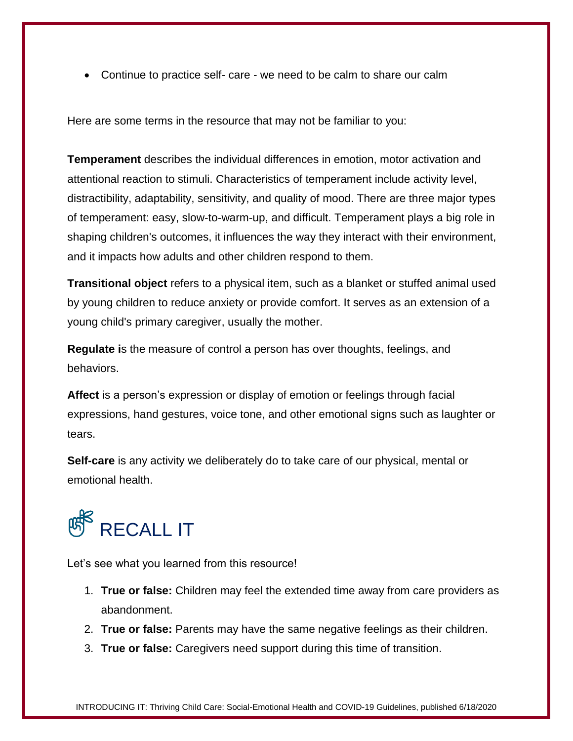Continue to practice self- care - we need to be calm to share our calm

Here are some terms in the resource that may not be familiar to you:

**Temperament** describes the individual differences in emotion, motor activation and attentional reaction to stimuli. Characteristics of temperament include activity level, distractibility, adaptability, sensitivity, and quality of mood. There are three major types of temperament: easy, slow-to-warm-up, and difficult. Temperament plays a big role in shaping children's outcomes, it influences the way they interact with their environment, and it impacts how adults and other children respond to them.

**Transitional object** refers to a physical item, such as a blanket or stuffed animal used by young children to reduce anxiety or provide comfort. It serves as an extension of a young child's primary caregiver, usually the mother.

**Regulate i**s the measure of control a person has over thoughts, feelings, and behaviors.

**Affect** is a person's expression or display of emotion or feelings through facial expressions, hand gestures, voice tone, and other emotional signs such as laughter or tears.

**Self-care** is any activity we deliberately do to take care of our physical, mental or emotional health.

## **RECALL IT**

Let's see what you learned from this resource!

- 1. **True or false:** Children may feel the extended time away from care providers as abandonment.
- 2. **True or false:** Parents may have the same negative feelings as their children.
- 3. **True or false:** Caregivers need support during this time of transition.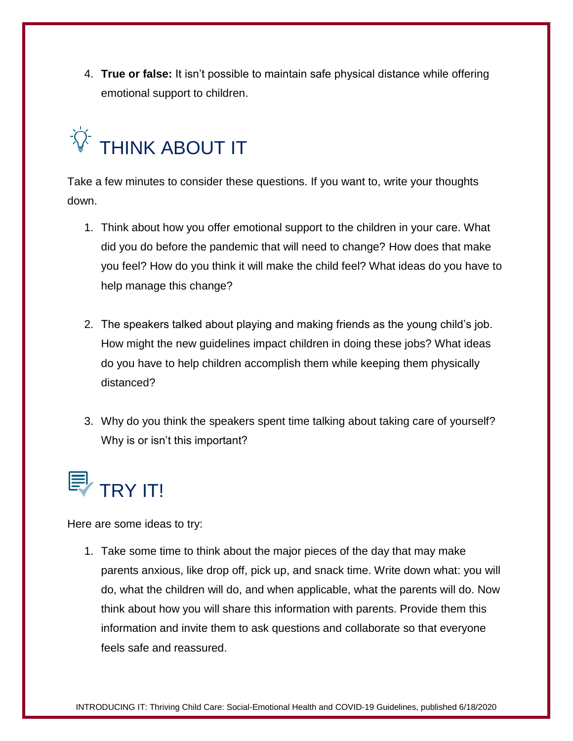4. **True or false:** It isn't possible to maintain safe physical distance while offering emotional support to children.



Take a few minutes to consider these questions. If you want to, write your thoughts down.

- 1. Think about how you offer emotional support to the children in your care. What did you do before the pandemic that will need to change? How does that make you feel? How do you think it will make the child feel? What ideas do you have to help manage this change?
- 2. The speakers talked about playing and making friends as the young child's job. How might the new guidelines impact children in doing these jobs? What ideas do you have to help children accomplish them while keeping them physically distanced?
- 3. Why do you think the speakers spent time talking about taking care of yourself? Why is or isn't this important?



Here are some ideas to try:

1. Take some time to think about the major pieces of the day that may make parents anxious, like drop off, pick up, and snack time. Write down what: you will do, what the children will do, and when applicable, what the parents will do. Now think about how you will share this information with parents. Provide them this information and invite them to ask questions and collaborate so that everyone feels safe and reassured.